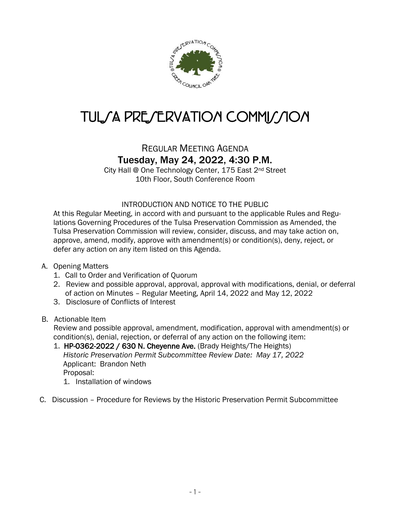

## TULSA PRESERVATION COMMISSION

## REGULAR MEETING AGENDA Tuesday, May 24, 2022, 4:30 P.M.

City Hall @ One Technology Center, 175 East 2nd Street 10th Floor, South Conference Room

## INTRODUCTION AND NOTICE TO THE PUBLIC

At this Regular Meeting, in accord with and pursuant to the applicable Rules and Regulations Governing Procedures of the Tulsa Preservation Commission as Amended, the Tulsa Preservation Commission will review, consider, discuss, and may take action on, approve, amend, modify, approve with amendment(s) or condition(s), deny, reject, or defer any action on any item listed on this Agenda.

- A. Opening Matters
	- 1. Call to Order and Verification of Quorum
	- 2. Review and possible approval, approval, approval with modifications, denial, or deferral of action on Minutes – Regular Meeting, April 14, 2022 and May 12, 2022
	- 3. Disclosure of Conflicts of Interest

## B. Actionable Item

 Review and possible approval, amendment, modification, approval with amendment(s) or condition(s), denial, rejection, or deferral of any action on the following item:

- 1. HP-0362-2022 / 630 N. Cheyenne Ave. (Brady Heights/The Heights) *Historic Preservation Permit Subcommittee Review Date: May 17, 2022* Applicant: Brandon Neth Proposal:
	- 1. Installation of windows
- C. Discussion Procedure for Reviews by the Historic Preservation Permit Subcommittee